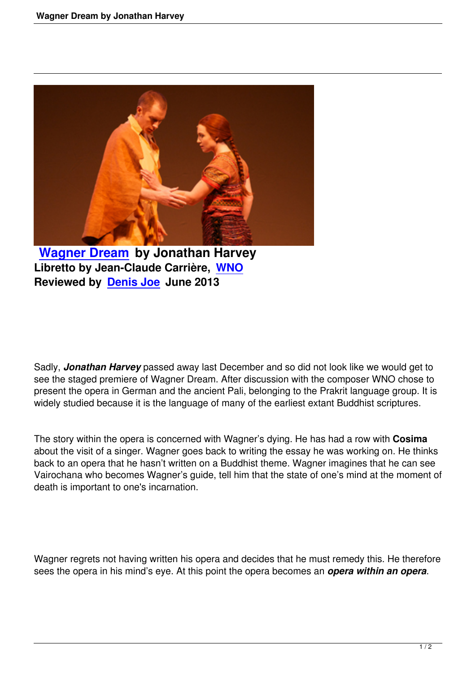

**Wagner Dream by Jonathan Harvey Libretto by Jean-Claude Carrière, WNO [Reviewed by Deni](wagner-dream-by-jonathan-harvey.html)s Joe June 2013** 

Sadly, *Jonathan Harvey* passed away last December and so did not look like we would get to see the staged premiere of Wagner Dream. After discussion with the composer WNO chose to present the opera in German and the ancient Pali, belonging to the Prakrit language group. It is widely studied because it is the language of many of the earliest extant Buddhist scriptures.

The story within the opera is concerned with Wagner's dying. He has had a row with **Cosima** about the visit of a singer. Wagner goes back to writing the essay he was working on. He thinks back to an opera that he hasn't written on a Buddhist theme. Wagner imagines that he can see Vairochana who becomes Wagner's guide, tell him that the state of one's mind at the moment of death is important to one's incarnation.

Wagner regrets not having written his opera and decides that he must remedy this. He therefore sees the opera in his mind's eye. At this point the opera becomes an *opera within an opera*.